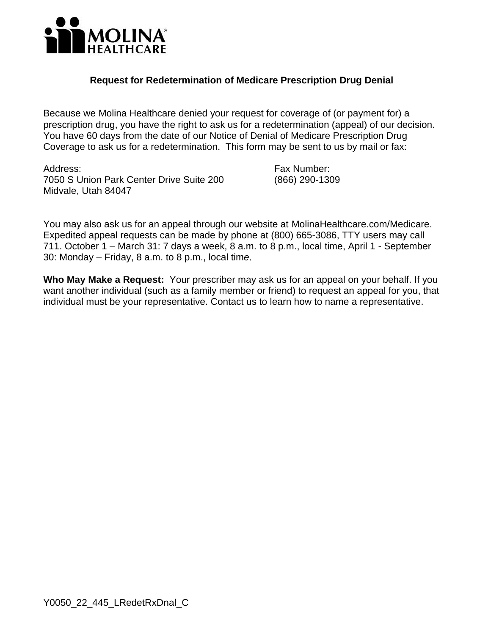

## **Request for Redetermination of Medicare Prescription Drug Denial**

 prescription drug, you have the right to ask us for a redetermination (appeal) of our decision. Coverage to ask us for a redetermination. This form may be sent to us by mail or fax: Because we Molina Healthcare denied your request for coverage of (or payment for) a You have 60 days from the date of our Notice of Denial of Medicare Prescription Drug

Address: 7050 S Union Park Center Drive Suite 200 Midvale, Utah 84047

Fax Number: (866) 290-1309

You may also ask us for an appeal through our website at [MolinaHealthcare.com/Medicare](http://MolinaHealthcare.com/Medicare). Expedited appeal requests can be made by phone at (800) 665-3086, TTY users may call 711. October 1 – March 31: 7 days a week, 8 a.m. to 8 p.m., local time, April 1 - September 30: Monday – Friday, 8 a.m. to 8 p.m., local tim*e*.

 **Who May Make a Request:** Your prescriber may ask us for an appeal on your behalf. If you want another individual (such as a family member or friend) to request an appeal for you, that individual must be your representative. Contact us to learn how to name a representative.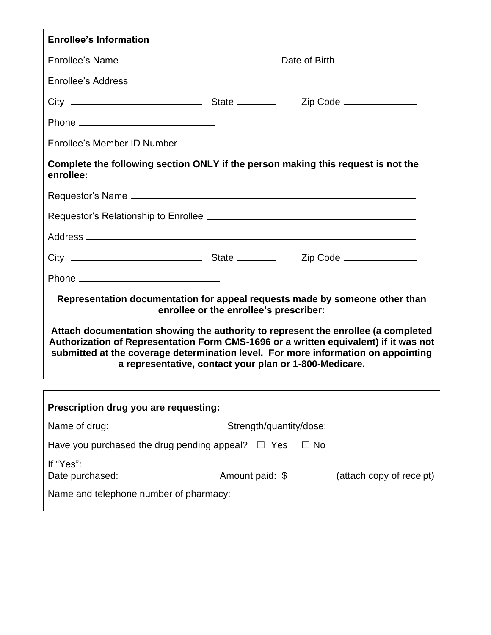| <b>Enrollee's Information</b>                                                                                                                                                                                                                                                                                            |                                        |                                               |  |  |  |
|--------------------------------------------------------------------------------------------------------------------------------------------------------------------------------------------------------------------------------------------------------------------------------------------------------------------------|----------------------------------------|-----------------------------------------------|--|--|--|
|                                                                                                                                                                                                                                                                                                                          |                                        |                                               |  |  |  |
|                                                                                                                                                                                                                                                                                                                          |                                        |                                               |  |  |  |
|                                                                                                                                                                                                                                                                                                                          |                                        |                                               |  |  |  |
|                                                                                                                                                                                                                                                                                                                          |                                        |                                               |  |  |  |
| Enrollee's Member ID Number _______________________                                                                                                                                                                                                                                                                      |                                        |                                               |  |  |  |
| Complete the following section ONLY if the person making this request is not the<br>enrollee:                                                                                                                                                                                                                            |                                        |                                               |  |  |  |
|                                                                                                                                                                                                                                                                                                                          |                                        |                                               |  |  |  |
|                                                                                                                                                                                                                                                                                                                          |                                        |                                               |  |  |  |
|                                                                                                                                                                                                                                                                                                                          |                                        |                                               |  |  |  |
|                                                                                                                                                                                                                                                                                                                          |                                        |                                               |  |  |  |
|                                                                                                                                                                                                                                                                                                                          |                                        |                                               |  |  |  |
| Representation documentation for appeal requests made by someone other than                                                                                                                                                                                                                                              |                                        |                                               |  |  |  |
|                                                                                                                                                                                                                                                                                                                          | enrollee or the enrollee's prescriber: |                                               |  |  |  |
| Attach documentation showing the authority to represent the enrollee (a completed<br>Authorization of Representation Form CMS-1696 or a written equivalent) if it was not<br>submitted at the coverage determination level. For more information on appointing<br>a representative, contact your plan or 1-800-Medicare. |                                        |                                               |  |  |  |
|                                                                                                                                                                                                                                                                                                                          |                                        |                                               |  |  |  |
| Prescription drug you are requesting:                                                                                                                                                                                                                                                                                    |                                        |                                               |  |  |  |
| Name of drug: ___________________________Strength/quantity/dose: _______________                                                                                                                                                                                                                                         |                                        |                                               |  |  |  |
| Have you purchased the drug pending appeal? $\Box$ Yes<br>$\Box$ No                                                                                                                                                                                                                                                      |                                        |                                               |  |  |  |
| If "Yes":                                                                                                                                                                                                                                                                                                                |                                        |                                               |  |  |  |
| Name and telephone number of pharmacy:                                                                                                                                                                                                                                                                                   |                                        | <u> 1980 - Andrea Andrew Maria (h. 1980).</u> |  |  |  |